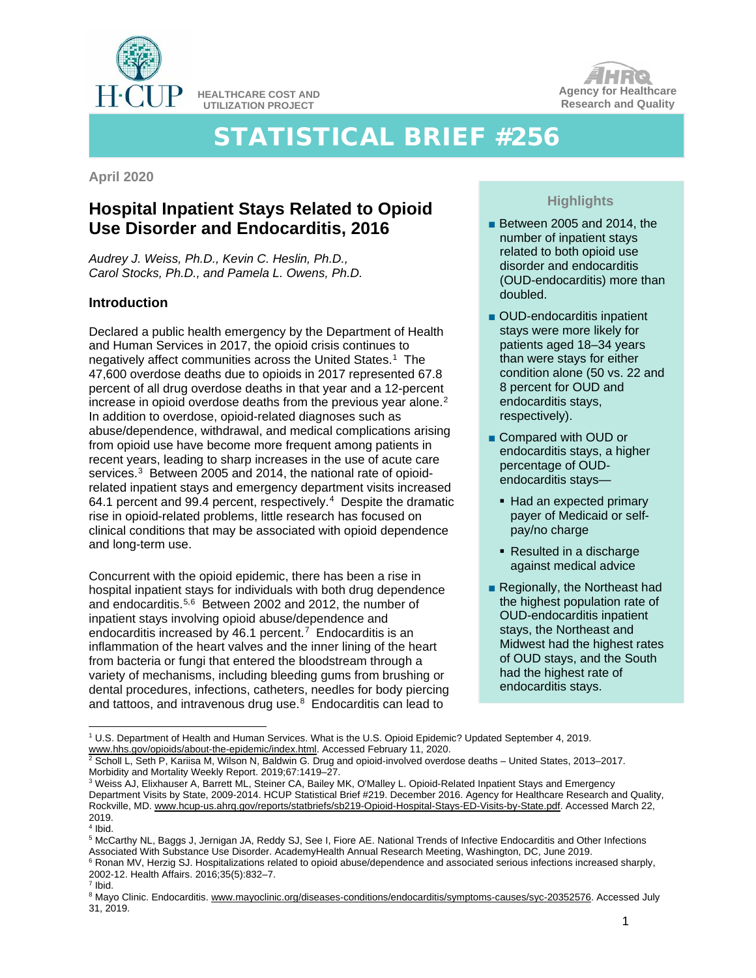

**HEALTHCARE COST AND UTILIZATION PROJECT**

# STATISTICAL BRIEF #256

**April 2020**

# **Hospital Inpatient Stays Related to Opioid Use Disorder and Endocarditis, 2016**

*Audrey J. Weiss, Ph.D., Kevin C. Heslin, Ph.D., Carol Stocks, Ph.D., and Pamela L. Owens, Ph.D.*

# **Introduction**

Declared a public health emergency by the Department of Health and Human Services in 2017, the opioid crisis continues to negatively affect communities across the United States.<sup>[1](#page-0-0)</sup> The 47,600 overdose deaths due to opioids in 2017 represented 67.8 percent of all drug overdose deaths in that year and a 12-percent increase in opioid overdose deaths from the previous year alone.<sup>[2](#page-0-1)</sup> In addition to overdose, opioid-related diagnoses such as abuse/dependence, withdrawal, and medical complications arising from opioid use have become more frequent among patients in recent years, leading to sharp increases in the use of acute care services.<sup>[3](#page-0-2)</sup> Between 2005 and 2014, the national rate of opioidrelated inpatient stays and emergency department visits increased 64.1 percent and 99.4 percent, respectively. [4](#page-0-3) Despite the dramatic rise in opioid-related problems, little research has focused on clinical conditions that may be associated with opioid dependence and long-term use.

Concurrent with the opioid epidemic, there has been a rise in hospital inpatient stays for individuals with both drug dependence and endocarditis.[5](#page-0-4),[6](#page-0-5) Between 2002 and 2012, the number of inpatient stays involving opioid abuse/dependence and endocarditis increased by 46.1 percent.<sup>7</sup> Endocarditis is an inflammation of the heart valves and the inner lining of the heart from bacteria or fungi that entered the bloodstream through a variety of mechanisms, including bleeding gums from brushing or dental procedures, infections, catheters, needles for body piercing and tattoos, and intravenous drug use.<sup>[8](#page-0-7)</sup> Endocarditis can lead to

# **Highlights**

**Agency for Healthcare Research and Quality**

- Between 2005 and 2014, the number of inpatient stays related to both opioid use disorder and endocarditis (OUD-endocarditis) more than doubled.
- OUD-endocarditis inpatient stays were more likely for patients aged 18–34 years than were stays for either condition alone (50 vs. 22 and 8 percent for OUD and endocarditis stays, respectively).
- Compared with OUD or endocarditis stays, a higher percentage of OUDendocarditis stays—
	- Had an expected primary payer of Medicaid or selfpay/no charge
	- Resulted in a discharge against medical advice
- Regionally, the Northeast had the highest population rate of OUD-endocarditis inpatient stays, the Northeast and Midwest had the highest rates of OUD stays, and the South had the highest rate of endocarditis stays.

<span id="page-0-0"></span><sup>1</sup> U.S. Department of Health and Human Services. What is the U.S. Opioid Epidemic? Updated September 4, 2019. [www.hhs.gov/opioids/about-the-epidemic/index.html.](http://www.hhs.gov/opioids/about-the-epidemic/index.html) Accessed February 11, 2020.

<span id="page-0-1"></span> $^2$  Scholl L, Seth P, Kariisa M, Wilson N, Baldwin G. Drug and opioid-involved overdose deaths – United States, 2013–2017.

<span id="page-0-2"></span>Morbidity and Mortality Weekly Report. 2019;67:1419–27.<br><sup>3</sup> Weiss AJ, Elixhauser A, Barrett ML, Steiner CA, Bailey MK, O'Malley L. Opioid-Related Inpatient Stays and Emergency Department Visits by State, 2009-2014. HCUP Statistical Brief #219. December 2016. Agency for Healthcare Research and Quality, Rockville, MD. [www.hcup-us.ahrq.gov/reports/statbriefs/sb219-Opioid-Hospital-Stays-ED-Visits-by-State.pdf.](http://www.hcup-us.ahrq.gov/reports/statbriefs/sb219-Opioid-Hospital-Stays-ED-Visits-by-State.pdf) Accessed March 22, 2019.

<span id="page-0-3"></span><sup>4</sup> Ibid.

<span id="page-0-4"></span><sup>&</sup>lt;sup>5</sup> McCarthy NL, Baggs J, Jernigan JA, Reddy SJ, See I, Fiore AE. National Trends of Infective Endocarditis and Other Infections<br>Associated With Substance Use Disorder. AcademyHealth Annual Research Meeting, Washington, DC

<span id="page-0-5"></span><sup>&</sup>lt;sup>6</sup> Ronan MV, Herzig SJ. Hospitalizations related to opioid abuse/dependence and associated serious infections increased sharply, 2002-12. Health Affairs. 2016;35(5):832–7. <sup>7</sup> Ibid.

<span id="page-0-7"></span><span id="page-0-6"></span><sup>8</sup> Mayo Clinic. Endocarditis. [www.mayoclinic.org/diseases-conditions/endocarditis/symptoms-causes/syc-20352576.](http://www.mayoclinic.org/diseases-conditions/endocarditis/symptoms-causes/syc-20352576) Accessed July 31, 2019.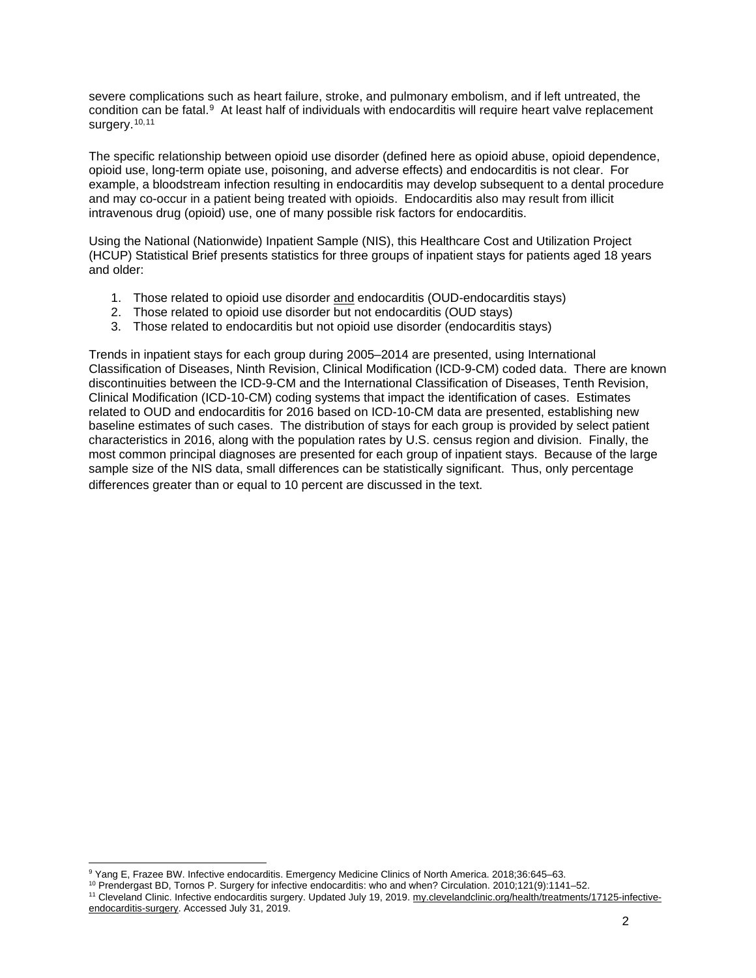severe complications such as heart failure, stroke, and pulmonary embolism, and if left untreated, the condition can be fatal.<sup>[9](#page-1-0)</sup> At least half of individuals with endocarditis will require heart valve replacement surgery.<sup>[10,](#page-1-1)[11](#page-1-2)</sup>

The specific relationship between opioid use disorder (defined here as opioid abuse, opioid dependence, opioid use, long-term opiate use, poisoning, and adverse effects) and endocarditis is not clear. For example, a bloodstream infection resulting in endocarditis may develop subsequent to a dental procedure and may co-occur in a patient being treated with opioids. Endocarditis also may result from illicit intravenous drug (opioid) use, one of many possible risk factors for endocarditis.

Using the National (Nationwide) Inpatient Sample (NIS), this Healthcare Cost and Utilization Project (HCUP) Statistical Brief presents statistics for three groups of inpatient stays for patients aged 18 years and older:

- 1. Those related to opioid use disorder and endocarditis (OUD-endocarditis stays)
- 2. Those related to opioid use disorder but not endocarditis (OUD stays)
- 3. Those related to endocarditis but not opioid use disorder (endocarditis stays)

Trends in inpatient stays for each group during 2005–2014 are presented, using International Classification of Diseases, Ninth Revision, Clinical Modification (ICD-9-CM) coded data. There are known discontinuities between the ICD-9-CM and the International Classification of Diseases, Tenth Revision, Clinical Modification (ICD-10-CM) coding systems that impact the identification of cases. Estimates related to OUD and endocarditis for 2016 based on ICD-10-CM data are presented, establishing new baseline estimates of such cases. The distribution of stays for each group is provided by select patient characteristics in 2016, along with the population rates by U.S. census region and division. Finally, the most common principal diagnoses are presented for each group of inpatient stays. Because of the large sample size of the NIS data, small differences can be statistically significant. Thus, only percentage differences greater than or equal to 10 percent are discussed in the text.

<span id="page-1-0"></span><sup>9</sup> Yang E, Frazee BW. Infective endocarditis. Emergency Medicine Clinics of North America. 2018;36:645–63.<br><sup>10</sup> Prendergast BD, Tornos P. Surgery for infective endocarditis: who and when? Circulation. 2010;121(9):1141–52.

<span id="page-1-2"></span><span id="page-1-1"></span>

<sup>&</sup>lt;sup>11</sup> Cleveland Clinic. Infective endocarditis surgery. Updated July 19, 2019[. my.clevelandclinic.org/health/treatments/17125-infective](https://my.clevelandclinic.org/health/treatments/17125-infective-endocarditis-surgery)[endocarditis-surgery.](https://my.clevelandclinic.org/health/treatments/17125-infective-endocarditis-surgery) Accessed July 31, 2019.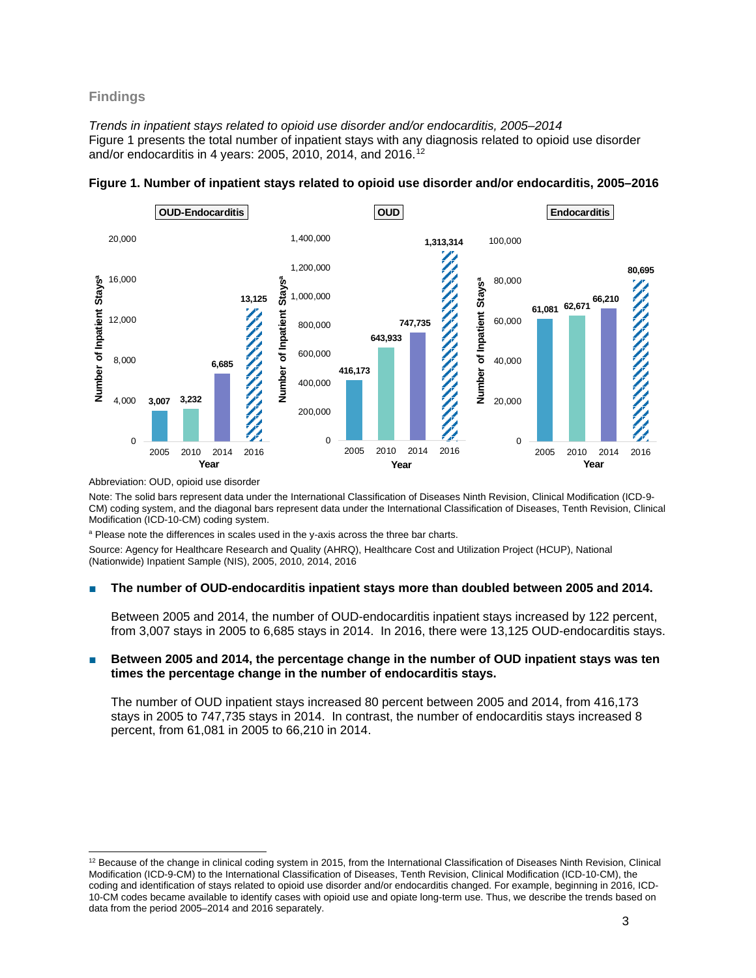# **Findings**

*Trends in inpatient stays related to opioid use disorder and/or endocarditis, 2005–2014* Figure 1 presents the total number of inpatient stays with any diagnosis related to opioid use disorder and/or endocarditis in 4 years: 2005, 2010, 2014, and 2016. [12](#page-2-0)





Note: The solid bars represent data under the International Classification of Diseases Ninth Revision, Clinical Modification (ICD-9- CM) coding system, and the diagonal bars represent data under the International Classification of Diseases, Tenth Revision, Clinical Modification (ICD-10-CM) coding system.

a Please note the differences in scales used in the y-axis across the three bar charts.

Source: Agency for Healthcare Research and Quality (AHRQ), Healthcare Cost and Utilization Project (HCUP), National (Nationwide) Inpatient Sample (NIS), 2005, 2010, 2014, 2016

#### ■ **The number of OUD-endocarditis inpatient stays more than doubled between 2005 and 2014.**

Between 2005 and 2014, the number of OUD-endocarditis inpatient stays increased by 122 percent, from 3,007 stays in 2005 to 6,685 stays in 2014. In 2016, there were 13,125 OUD-endocarditis stays.

#### ■ Between 2005 and 2014, the percentage change in the number of OUD inpatient stays was ten **times the percentage change in the number of endocarditis stays.**

The number of OUD inpatient stays increased 80 percent between 2005 and 2014, from 416,173 stays in 2005 to 747,735 stays in 2014. In contrast, the number of endocarditis stays increased 8 percent, from 61,081 in 2005 to 66,210 in 2014.

Abbreviation: OUD, opioid use disorder

<span id="page-2-0"></span><sup>&</sup>lt;sup>12</sup> Because of the change in clinical coding system in 2015, from the International Classification of Diseases Ninth Revision, Clinical Modification (ICD-9-CM) to the International Classification of Diseases, Tenth Revision, Clinical Modification (ICD-10-CM), the coding and identification of stays related to opioid use disorder and/or endocarditis changed. For example, beginning in 2016, ICD-10-CM codes became available to identify cases with opioid use and opiate long-term use. Thus, we describe the trends based on data from the period 2005–2014 and 2016 separately.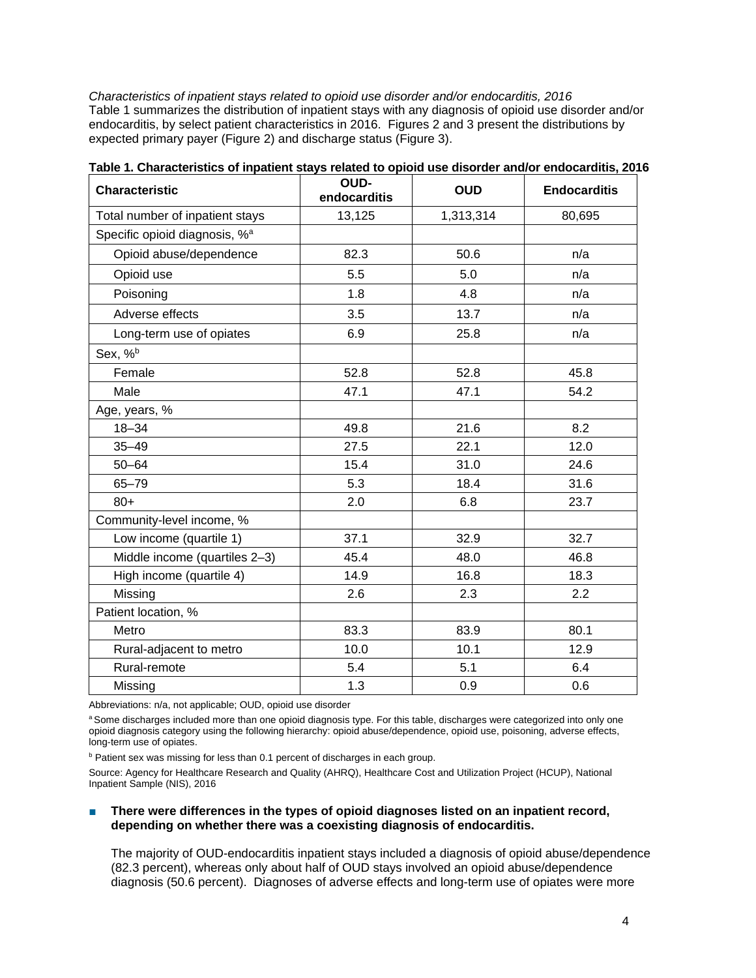*Characteristics of inpatient stays related to opioid use disorder and/or endocarditis, 2016* Table 1 summarizes the distribution of inpatient stays with any diagnosis of opioid use disorder and/or endocarditis, by select patient characteristics in 2016. Figures 2 and 3 present the distributions by expected primary payer (Figure 2) and discharge status (Figure 3).

| <b>Characteristic</b>                     | <b>OUD-</b><br>endocarditis | <b>OUD</b> | <b>Endocarditis</b> |
|-------------------------------------------|-----------------------------|------------|---------------------|
| Total number of inpatient stays           | 13,125                      | 1,313,314  | 80,695              |
| Specific opioid diagnosis, % <sup>a</sup> |                             |            |                     |
| Opioid abuse/dependence                   | 82.3                        | 50.6       | n/a                 |
| Opioid use                                | 5.5                         | 5.0        | n/a                 |
| Poisoning                                 | 1.8                         | 4.8        | n/a                 |
| Adverse effects                           | 3.5                         | 13.7       | n/a                 |
| Long-term use of opiates                  | 6.9                         | 25.8       | n/a                 |
| Sex, % <sup>b</sup>                       |                             |            |                     |
| Female                                    | 52.8                        | 52.8       | 45.8                |
| Male                                      | 47.1                        | 47.1       | 54.2                |
| Age, years, %                             |                             |            |                     |
| $18 - 34$                                 | 49.8                        | 21.6       | 8.2                 |
| $35 - 49$                                 | 27.5                        | 22.1       | 12.0                |
| $50 - 64$                                 | 15.4                        | 31.0       | 24.6                |
| $65 - 79$                                 | 5.3                         | 18.4       | 31.6                |
| $80+$                                     | 2.0                         | 6.8        | 23.7                |
| Community-level income, %                 |                             |            |                     |
| Low income (quartile 1)                   | 37.1                        | 32.9       | 32.7                |
| Middle income (quartiles 2-3)             | 45.4                        | 48.0       | 46.8                |
| High income (quartile 4)                  | 14.9                        | 16.8       | 18.3                |
| Missing                                   | 2.6                         | 2.3        | 2.2                 |
| Patient location, %                       |                             |            |                     |
| Metro                                     | 83.3                        | 83.9       | 80.1                |
| Rural-adjacent to metro                   | 10.0                        | 10.1       | 12.9                |
| Rural-remote                              | 5.4                         | 5.1        | 6.4                 |
| Missing                                   | 1.3                         | 0.9        | 0.6                 |

**Table 1. Characteristics of inpatient stays related to opioid use disorder and/or endocarditis, 2016**

Abbreviations: n/a, not applicable; OUD, opioid use disorder

a Some discharges included more than one opioid diagnosis type. For this table, discharges were categorized into only one opioid diagnosis category using the following hierarchy: opioid abuse/dependence, opioid use, poisoning, adverse effects, long-term use of opiates.

b Patient sex was missing for less than 0.1 percent of discharges in each group.

Source: Agency for Healthcare Research and Quality (AHRQ), Healthcare Cost and Utilization Project (HCUP), National Inpatient Sample (NIS), 2016

There were differences in the types of opioid diagnoses listed on an inpatient record, **depending on whether there was a coexisting diagnosis of endocarditis.** 

The majority of OUD-endocarditis inpatient stays included a diagnosis of opioid abuse/dependence (82.3 percent), whereas only about half of OUD stays involved an opioid abuse/dependence diagnosis (50.6 percent). Diagnoses of adverse effects and long-term use of opiates were more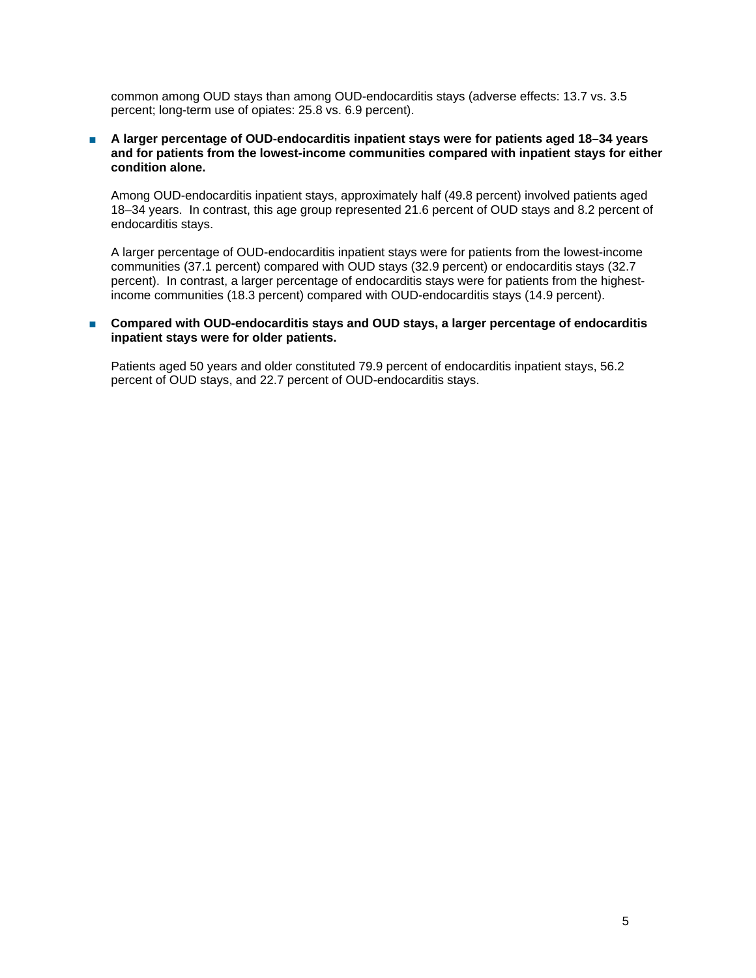common among OUD stays than among OUD-endocarditis stays (adverse effects: 13.7 vs. 3.5 percent; long-term use of opiates: 25.8 vs. 6.9 percent).

#### ■ A larger percentage of OUD-endocarditis inpatient stays were for patients aged 18–34 years **and for patients from the lowest-income communities compared with inpatient stays for either condition alone.**

Among OUD-endocarditis inpatient stays, approximately half (49.8 percent) involved patients aged 18–34 years. In contrast, this age group represented 21.6 percent of OUD stays and 8.2 percent of endocarditis stays.

A larger percentage of OUD-endocarditis inpatient stays were for patients from the lowest-income communities (37.1 percent) compared with OUD stays (32.9 percent) or endocarditis stays (32.7 percent). In contrast, a larger percentage of endocarditis stays were for patients from the highestincome communities (18.3 percent) compared with OUD-endocarditis stays (14.9 percent).

#### ■ Compared with OUD-endocarditis stays and OUD stays, a larger percentage of endocarditis **inpatient stays were for older patients.**

Patients aged 50 years and older constituted 79.9 percent of endocarditis inpatient stays, 56.2 percent of OUD stays, and 22.7 percent of OUD-endocarditis stays.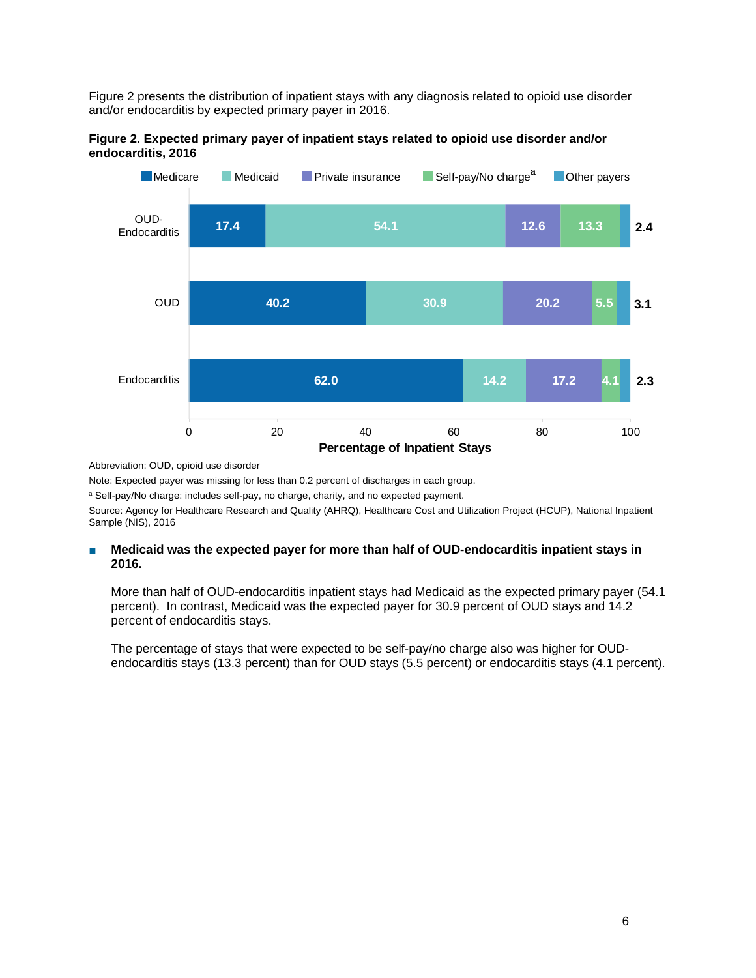Figure 2 presents the distribution of inpatient stays with any diagnosis related to opioid use disorder and/or endocarditis by expected primary payer in 2016.



**Figure 2. Expected primary payer of inpatient stays related to opioid use disorder and/or endocarditis, 2016**

Abbreviation: OUD, opioid use disorder

Note: Expected payer was missing for less than 0.2 percent of discharges in each group.

a Self-pay/No charge: includes self-pay, no charge, charity, and no expected payment.

Source: Agency for Healthcare Research and Quality (AHRQ), Healthcare Cost and Utilization Project (HCUP), National Inpatient Sample (NIS), 2016

#### ■ Medicaid was the expected payer for more than half of OUD-endocarditis inpatient stays in **2016.**

More than half of OUD-endocarditis inpatient stays had Medicaid as the expected primary payer (54.1 percent). In contrast, Medicaid was the expected payer for 30.9 percent of OUD stays and 14.2 percent of endocarditis stays.

The percentage of stays that were expected to be self-pay/no charge also was higher for OUDendocarditis stays (13.3 percent) than for OUD stays (5.5 percent) or endocarditis stays (4.1 percent).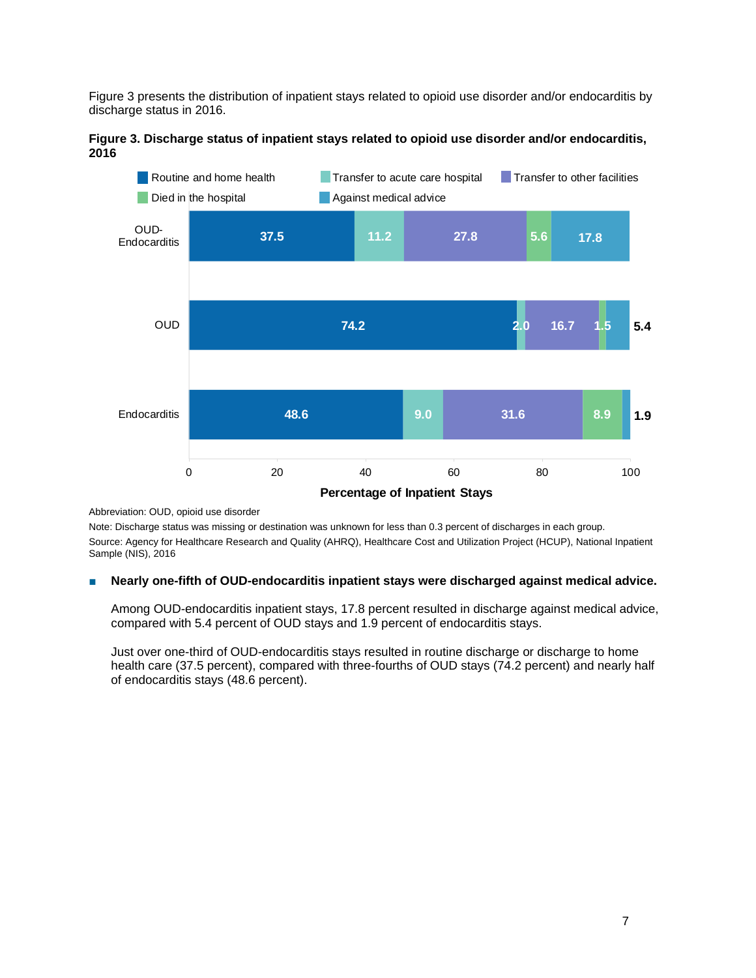Figure 3 presents the distribution of inpatient stays related to opioid use disorder and/or endocarditis by discharge status in 2016.





Abbreviation: OUD, opioid use disorder

Note: Discharge status was missing or destination was unknown for less than 0.3 percent of discharges in each group. Source: Agency for Healthcare Research and Quality (AHRQ), Healthcare Cost and Utilization Project (HCUP), National Inpatient Sample (NIS), 2016

#### ■ **Nearly one-fifth of OUD-endocarditis inpatient stays were discharged against medical advice.**

Among OUD-endocarditis inpatient stays, 17.8 percent resulted in discharge against medical advice, compared with 5.4 percent of OUD stays and 1.9 percent of endocarditis stays.

Just over one-third of OUD-endocarditis stays resulted in routine discharge or discharge to home health care (37.5 percent), compared with three-fourths of OUD stays (74.2 percent) and nearly half of endocarditis stays (48.6 percent).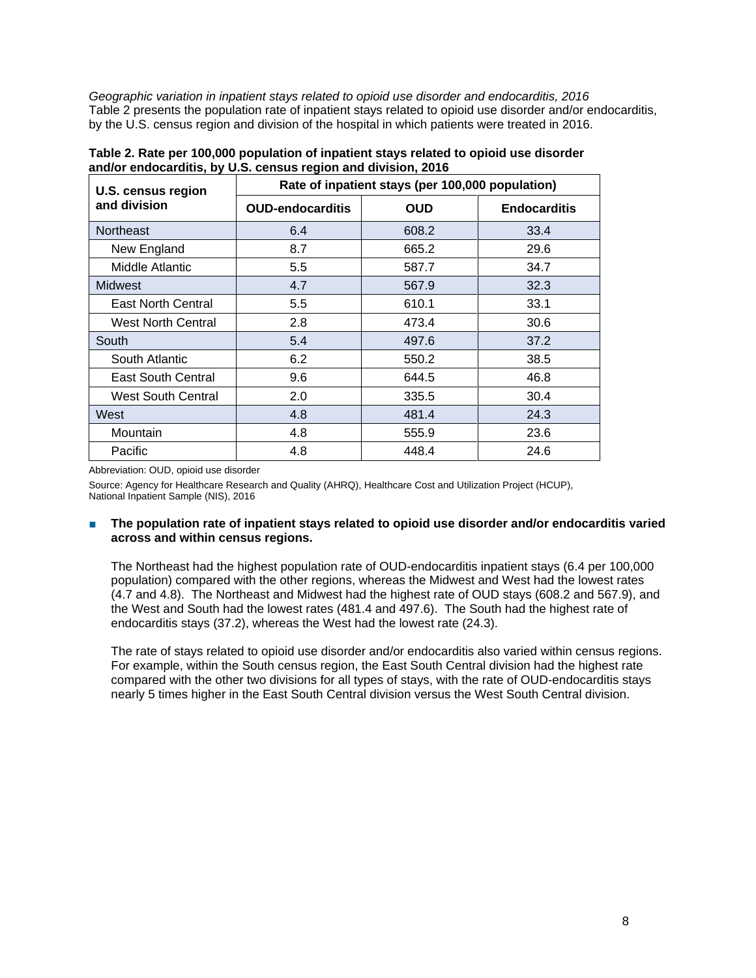*Geographic variation in inpatient stays related to opioid use disorder and endocarditis, 2016* Table 2 presents the population rate of inpatient stays related to opioid use disorder and/or endocarditis, by the U.S. census region and division of the hospital in which patients were treated in 2016.

| U.S. census region        | Rate of inpatient stays (per 100,000 population) |            |                     |  |  |  |
|---------------------------|--------------------------------------------------|------------|---------------------|--|--|--|
| and division              | <b>OUD-endocarditis</b>                          | <b>OUD</b> | <b>Endocarditis</b> |  |  |  |
| Northeast                 | 6.4                                              | 608.2      | 33.4                |  |  |  |
| New England               | 8.7                                              | 665.2      | 29.6                |  |  |  |
| Middle Atlantic           | 5.5                                              | 587.7      | 34.7                |  |  |  |
| <b>Midwest</b>            | 4.7                                              | 567.9      | 32.3                |  |  |  |
| <b>East North Central</b> | 5.5                                              | 610.1      | 33.1                |  |  |  |
| <b>West North Central</b> | 2.8                                              | 473.4      | 30.6                |  |  |  |
| South                     | 5.4                                              | 497.6      | 37.2                |  |  |  |
| South Atlantic            | 6.2                                              | 550.2      | 38.5                |  |  |  |
| East South Central        | 9.6                                              | 644.5      | 46.8                |  |  |  |
| West South Central        | 2.0                                              | 335.5      | 30.4                |  |  |  |
| West                      | 4.8                                              | 481.4      | 24.3                |  |  |  |
| Mountain                  | 4.8                                              | 555.9      | 23.6                |  |  |  |
| Pacific                   | 4.8                                              | 448.4      | 24.6                |  |  |  |

| Table 2. Rate per 100,000 population of inpatient stays related to opioid use disorder |
|----------------------------------------------------------------------------------------|
| and/or endocarditis, by U.S. census region and division, 2016                          |

Abbreviation: OUD, opioid use disorder

Source: Agency for Healthcare Research and Quality (AHRQ), Healthcare Cost and Utilization Project (HCUP), National Inpatient Sample (NIS), 2016

## ■ The population rate of inpatient stays related to opioid use disorder and/or endocarditis varied **across and within census regions.**

The Northeast had the highest population rate of OUD-endocarditis inpatient stays (6.4 per 100,000 population) compared with the other regions, whereas the Midwest and West had the lowest rates (4.7 and 4.8). The Northeast and Midwest had the highest rate of OUD stays (608.2 and 567.9), and the West and South had the lowest rates (481.4 and 497.6). The South had the highest rate of endocarditis stays (37.2), whereas the West had the lowest rate (24.3).

The rate of stays related to opioid use disorder and/or endocarditis also varied within census regions. For example, within the South census region, the East South Central division had the highest rate compared with the other two divisions for all types of stays, with the rate of OUD-endocarditis stays nearly 5 times higher in the East South Central division versus the West South Central division.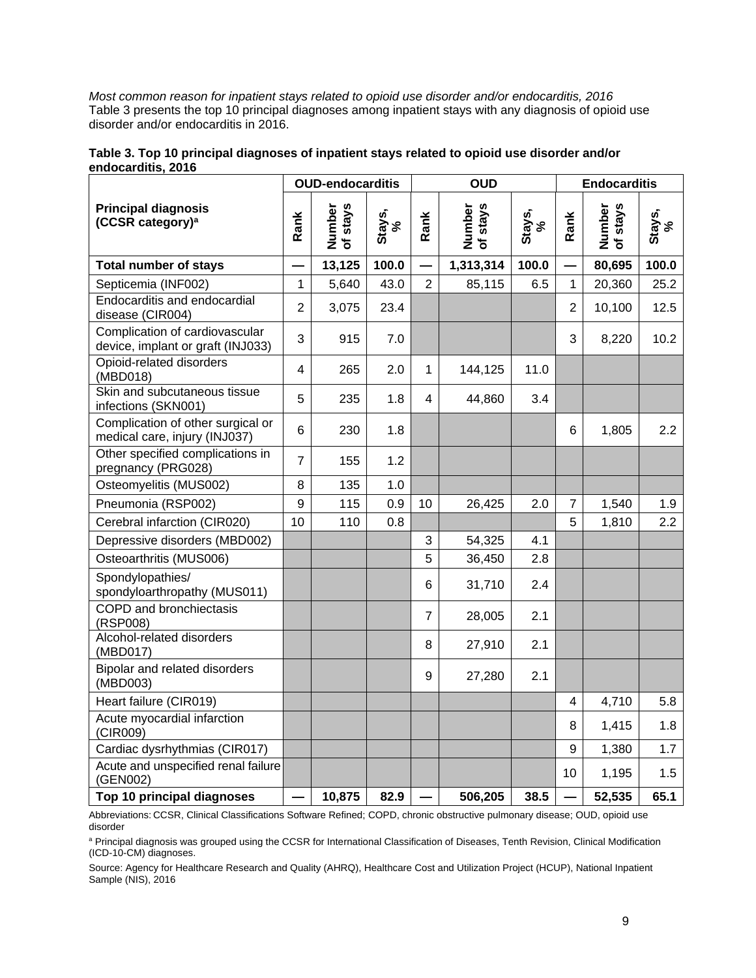*Most common reason for inpatient stays related to opioid use disorder and/or endocarditis, 2016* Table 3 presents the top 10 principal diagnoses among inpatient stays with any diagnosis of opioid use disorder and/or endocarditis in 2016.

| Table 3. Top 10 principal diagnoses of inpatient stays related to opioid use disorder and/or |  |
|----------------------------------------------------------------------------------------------|--|
| endocarditis, 2016                                                                           |  |

| <b>Principal diagnosis</b><br>(CCSR category) <sup>a</sup>          |                | <b>OUD-endocarditis</b> |              | <b>OUD</b>     |                    |                       | <b>Endocarditis</b> |                    |                       |
|---------------------------------------------------------------------|----------------|-------------------------|--------------|----------------|--------------------|-----------------------|---------------------|--------------------|-----------------------|
|                                                                     |                | of stays<br>Number      | Stays,<br>ॱ% | Rank           | Number<br>of stays | Stays, $\frac{9}{96}$ | Rank                | of stays<br>Number | Stays, $\frac{8}{96}$ |
| <b>Total number of stays</b>                                        |                | 13,125                  | 100.0        |                | 1,313,314          | 100.0                 |                     | 80,695             | 100.0                 |
| Septicemia (INF002)                                                 | 1              | 5,640                   | 43.0         | $\overline{2}$ | 85,115             | 6.5                   | $\overline{1}$      | 20,360             | 25.2                  |
| Endocarditis and endocardial<br>disease (CIR004)                    | $\overline{2}$ | 3,075                   | 23.4         |                |                    |                       | $\overline{2}$      | 10,100             | 12.5                  |
| Complication of cardiovascular<br>device, implant or graft (INJ033) | 3              | 915                     | 7.0          |                |                    |                       | 3                   | 8,220              | 10.2                  |
| Opioid-related disorders<br>(MBD018)                                | $\overline{4}$ | 265                     | 2.0          | $\mathbf{1}$   | 144,125            | 11.0                  |                     |                    |                       |
| Skin and subcutaneous tissue<br>infections (SKN001)                 | 5              | 235                     | 1.8          | 4              | 44,860             | 3.4                   |                     |                    |                       |
| Complication of other surgical or<br>medical care, injury (INJ037)  | 6              | 230                     | 1.8          |                |                    |                       | 6                   | 1,805              | 2.2                   |
| Other specified complications in<br>pregnancy (PRG028)              |                | 155                     | 1.2          |                |                    |                       |                     |                    |                       |
| Osteomyelitis (MUS002)                                              | 8              | 135                     | 1.0          |                |                    |                       |                     |                    |                       |
| Pneumonia (RSP002)                                                  | 9              | 115                     | 0.9          | 10             | 26,425             | 2.0                   | $\overline{7}$      | 1,540              | 1.9                   |
| Cerebral infarction (CIR020)                                        | 10             | 110                     | 0.8          |                |                    |                       | 5                   | 1,810              | 2.2                   |
| Depressive disorders (MBD002)                                       |                |                         |              | 3              | 54,325             | 4.1                   |                     |                    |                       |
| Osteoarthritis (MUS006)                                             |                |                         |              | 5              | 36,450             | 2.8                   |                     |                    |                       |
| Spondylopathies/<br>spondyloarthropathy (MUS011)                    |                |                         |              | 6              | 31,710             | 2.4                   |                     |                    |                       |
| COPD and bronchiectasis<br>(RSP008)                                 |                |                         |              | $\overline{7}$ | 28,005             | 2.1                   |                     |                    |                       |
| Alcohol-related disorders<br>(MBD017)                               |                |                         |              | 8              | 27,910             | 2.1                   |                     |                    |                       |
| Bipolar and related disorders<br>(MBD003)                           |                |                         |              | 9              | 27,280             | 2.1                   |                     |                    |                       |
| Heart failure (CIR019)                                              |                |                         |              |                |                    |                       | 4                   | 4,710              | 5.8                   |
| Acute myocardial infarction<br>(CIR009)                             |                |                         |              |                |                    |                       | 8                   | 1,415              | 1.8                   |
| Cardiac dysrhythmias (CIR017)                                       |                |                         |              |                |                    |                       | 9                   | 1,380              | 1.7                   |
| Acute and unspecified renal failure<br>(GEN002)                     |                |                         |              |                |                    |                       | 10                  | 1,195              | 1.5                   |
| Top 10 principal diagnoses                                          |                | 10,875                  | 82.9         |                | 506,205            | 38.5                  |                     | 52,535             | 65.1                  |

Abbreviations: CCSR, Clinical Classifications Software Refined; COPD, chronic obstructive pulmonary disease; OUD, opioid use disorder

a Principal diagnosis was grouped using the CCSR for International Classification of Diseases, Tenth Revision, Clinical Modification (ICD-10-CM) diagnoses.

Source: Agency for Healthcare Research and Quality (AHRQ), Healthcare Cost and Utilization Project (HCUP), National Inpatient Sample (NIS), 2016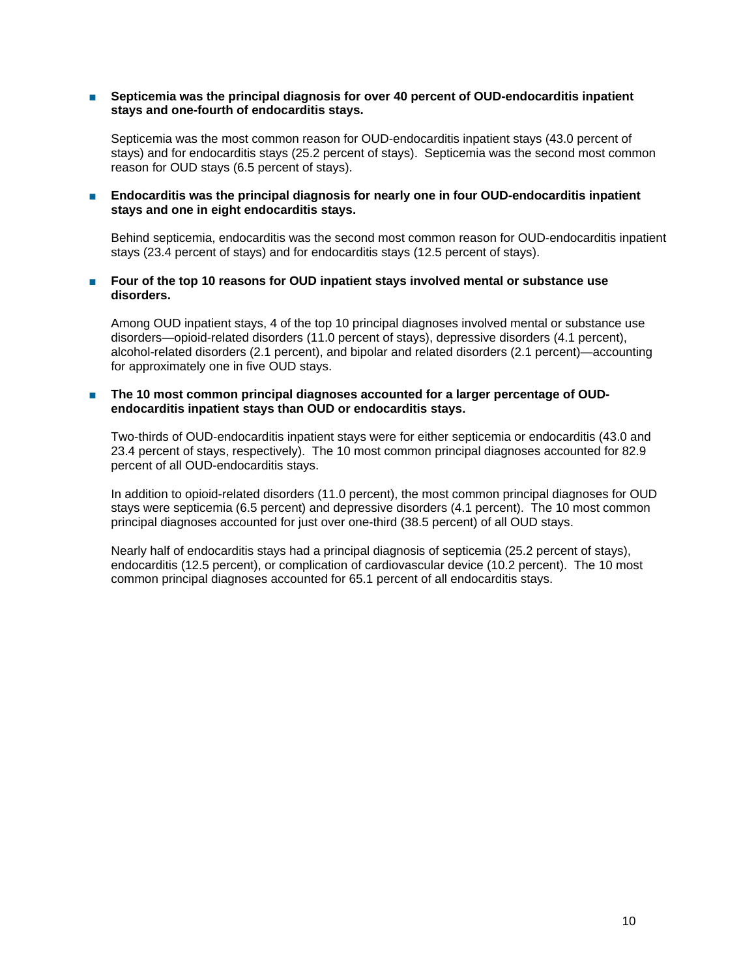#### ■ Septicemia was the principal diagnosis for over 40 percent of OUD-endocarditis inpatient **stays and one-fourth of endocarditis stays.**

Septicemia was the most common reason for OUD-endocarditis inpatient stays (43.0 percent of stays) and for endocarditis stays (25.2 percent of stays). Septicemia was the second most common reason for OUD stays (6.5 percent of stays).

#### ■ **Endocarditis was the principal diagnosis for nearly one in four OUD-endocarditis inpatient stays and one in eight endocarditis stays.**

Behind septicemia, endocarditis was the second most common reason for OUD-endocarditis inpatient stays (23.4 percent of stays) and for endocarditis stays (12.5 percent of stays).

#### ■ Four of the top 10 reasons for OUD inpatient stays involved mental or substance use **disorders.**

Among OUD inpatient stays, 4 of the top 10 principal diagnoses involved mental or substance use disorders—opioid-related disorders (11.0 percent of stays), depressive disorders (4.1 percent), alcohol-related disorders (2.1 percent), and bipolar and related disorders (2.1 percent)—accounting for approximately one in five OUD stays.

#### ■ The 10 most common principal diagnoses accounted for a larger percentage of OUD**endocarditis inpatient stays than OUD or endocarditis stays.**

Two-thirds of OUD-endocarditis inpatient stays were for either septicemia or endocarditis (43.0 and 23.4 percent of stays, respectively). The 10 most common principal diagnoses accounted for 82.9 percent of all OUD-endocarditis stays.

In addition to opioid-related disorders (11.0 percent), the most common principal diagnoses for OUD stays were septicemia (6.5 percent) and depressive disorders (4.1 percent). The 10 most common principal diagnoses accounted for just over one-third (38.5 percent) of all OUD stays.

Nearly half of endocarditis stays had a principal diagnosis of septicemia (25.2 percent of stays), endocarditis (12.5 percent), or complication of cardiovascular device (10.2 percent). The 10 most common principal diagnoses accounted for 65.1 percent of all endocarditis stays.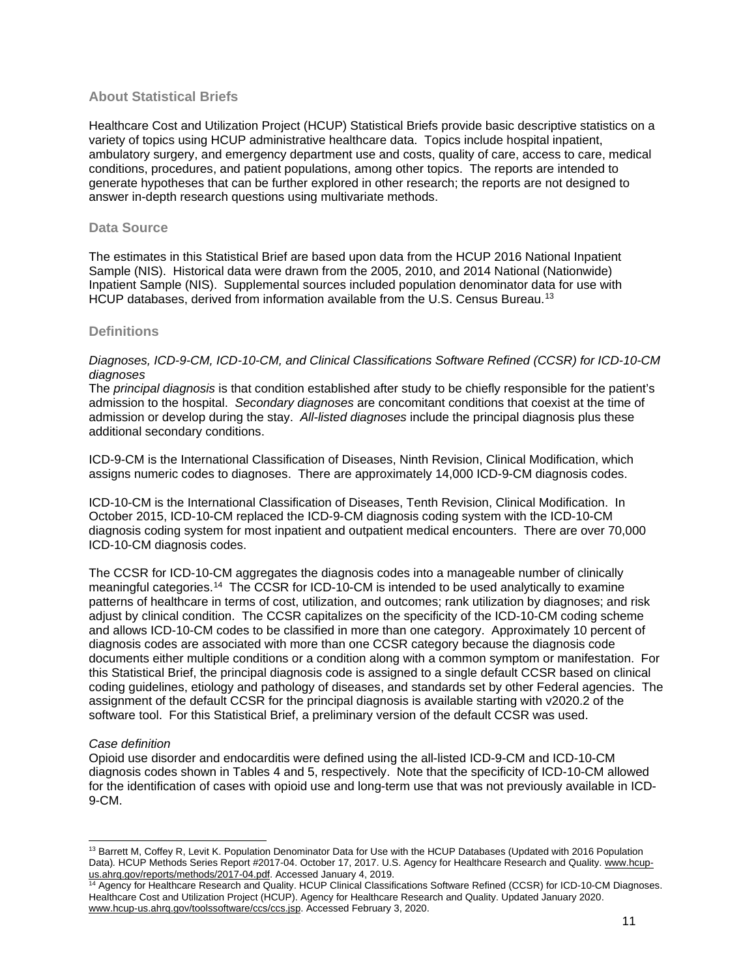## **About Statistical Briefs**

Healthcare Cost and Utilization Project (HCUP) Statistical Briefs provide basic descriptive statistics on a variety of topics using HCUP administrative healthcare data. Topics include hospital inpatient, ambulatory surgery, and emergency department use and costs, quality of care, access to care, medical conditions, procedures, and patient populations, among other topics. The reports are intended to generate hypotheses that can be further explored in other research; the reports are not designed to answer in-depth research questions using multivariate methods.

#### **Data Source**

The estimates in this Statistical Brief are based upon data from the HCUP 2016 National Inpatient Sample (NIS). Historical data were drawn from the 2005, 2010, and 2014 National (Nationwide) Inpatient Sample (NIS). Supplemental sources included population denominator data for use with HCUP databases, derived from information available from the U.S. Census Bureau.<sup>[13](#page-10-0)</sup>

#### **Definitions**

#### *Diagnoses, ICD-9-CM, ICD-10-CM, and Clinical Classifications Software Refined (CCSR) for ICD-10-CM diagnoses*

The *principal diagnosis* is that condition established after study to be chiefly responsible for the patient's admission to the hospital. *Secondary diagnoses* are concomitant conditions that coexist at the time of admission or develop during the stay. *All-listed diagnoses* include the principal diagnosis plus these additional secondary conditions.

ICD-9-CM is the International Classification of Diseases, Ninth Revision, Clinical Modification, which assigns numeric codes to diagnoses. There are approximately 14,000 ICD-9-CM diagnosis codes.

ICD-10-CM is the International Classification of Diseases, Tenth Revision, Clinical Modification. In October 2015, ICD-10-CM replaced the ICD-9-CM diagnosis coding system with the ICD-10-CM diagnosis coding system for most inpatient and outpatient medical encounters. There are over 70,000 ICD-10-CM diagnosis codes.

The CCSR for ICD-10-CM aggregates the diagnosis codes into a manageable number of clinically meaningful categories.[14](#page-10-1) The CCSR for ICD-10-CM is intended to be used analytically to examine patterns of healthcare in terms of cost, utilization, and outcomes; rank utilization by diagnoses; and risk adjust by clinical condition. The CCSR capitalizes on the specificity of the ICD-10-CM coding scheme and allows ICD-10-CM codes to be classified in more than one category. Approximately 10 percent of diagnosis codes are associated with more than one CCSR category because the diagnosis code documents either multiple conditions or a condition along with a common symptom or manifestation. For this Statistical Brief, the principal diagnosis code is assigned to a single default CCSR based on clinical coding guidelines, etiology and pathology of diseases, and standards set by other Federal agencies. The assignment of the default CCSR for the principal diagnosis is available starting with v2020.2 of the software tool. For this Statistical Brief, a preliminary version of the default CCSR was used.

#### *Case definition*

Opioid use disorder and endocarditis were defined using the all-listed ICD-9-CM and ICD-10-CM diagnosis codes shown in Tables 4 and 5, respectively. Note that the specificity of ICD-10-CM allowed for the identification of cases with opioid use and long-term use that was not previously available in ICD-9-CM.

<span id="page-10-0"></span><sup>&</sup>lt;sup>13</sup> Barrett M, Coffey R, Levit K, Population Denominator Data for Use with the HCUP Databases (Updated with 2016 Population Data). HCUP Methods Series Report #2017-04. October 17, 2017. U.S. Agency for Healthcare Research and Quality. [www.hcup](http://www.hcup-us.ahrq.gov/reports/methods/2017-04.pdf)[us.ahrq.gov/reports/methods/2017-04.pdf.](http://www.hcup-us.ahrq.gov/reports/methods/2017-04.pdf) Accessed January 4, 2019.

<span id="page-10-1"></span><sup>&</sup>lt;sup>14</sup> Agency for Healthcare Research and Quality. HCUP Clinical Classifications Software Refined (CCSR) for ICD-10-CM Diagnoses. Healthcare Cost and Utilization Project (HCUP). Agency for Healthcare Research and Quality. Updated January 2020. [www.hcup-us.ahrq.gov/toolssoftware/ccs/ccs.jsp.](http://www.hcup-us.ahrq.gov/toolssoftware/ccs/ccs.jsp) Accessed February 3, 2020.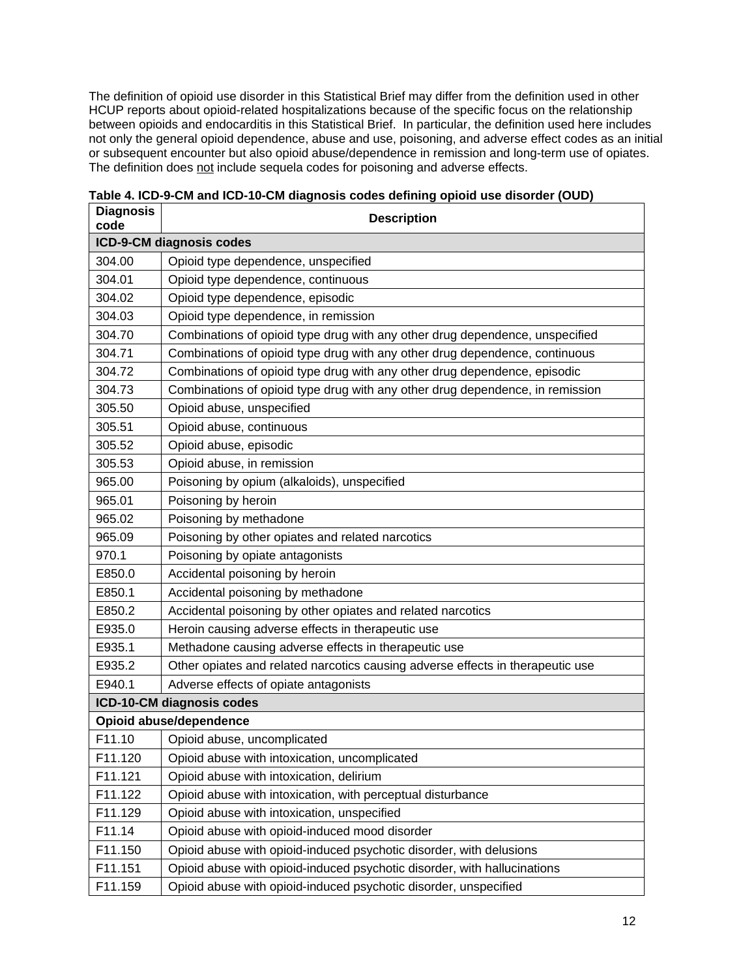The definition of opioid use disorder in this Statistical Brief may differ from the definition used in other HCUP reports about opioid-related hospitalizations because of the specific focus on the relationship between opioids and endocarditis in this Statistical Brief. In particular, the definition used here includes not only the general opioid dependence, abuse and use, poisoning, and adverse effect codes as an initial or subsequent encounter but also opioid abuse/dependence in remission and long-term use of opiates. The definition does not include sequela codes for poisoning and adverse effects.

| <b>Diagnosis</b><br>code | <b>Description</b>                                                             |
|--------------------------|--------------------------------------------------------------------------------|
|                          | ICD-9-CM diagnosis codes                                                       |
| 304.00                   | Opioid type dependence, unspecified                                            |
| 304.01                   | Opioid type dependence, continuous                                             |
| 304.02                   | Opioid type dependence, episodic                                               |
| 304.03                   | Opioid type dependence, in remission                                           |
| 304.70                   | Combinations of opioid type drug with any other drug dependence, unspecified   |
| 304.71                   | Combinations of opioid type drug with any other drug dependence, continuous    |
| 304.72                   | Combinations of opioid type drug with any other drug dependence, episodic      |
| 304.73                   | Combinations of opioid type drug with any other drug dependence, in remission  |
| 305.50                   | Opioid abuse, unspecified                                                      |
| 305.51                   | Opioid abuse, continuous                                                       |
| 305.52                   | Opioid abuse, episodic                                                         |
| 305.53                   | Opioid abuse, in remission                                                     |
| 965.00                   | Poisoning by opium (alkaloids), unspecified                                    |
| 965.01                   | Poisoning by heroin                                                            |
| 965.02                   | Poisoning by methadone                                                         |
| 965.09                   | Poisoning by other opiates and related narcotics                               |
| 970.1                    | Poisoning by opiate antagonists                                                |
| E850.0                   | Accidental poisoning by heroin                                                 |
| E850.1                   | Accidental poisoning by methadone                                              |
| E850.2                   | Accidental poisoning by other opiates and related narcotics                    |
| E935.0                   | Heroin causing adverse effects in therapeutic use                              |
| E935.1                   | Methadone causing adverse effects in therapeutic use                           |
| E935.2                   | Other opiates and related narcotics causing adverse effects in therapeutic use |
| E940.1                   | Adverse effects of opiate antagonists                                          |
|                          | ICD-10-CM diagnosis codes                                                      |
|                          | Opioid abuse/dependence                                                        |
| F11.10                   | Opioid abuse, uncomplicated                                                    |
| F11.120                  | Opioid abuse with intoxication, uncomplicated                                  |
| F11.121                  | Opioid abuse with intoxication, delirium                                       |
| F11.122                  | Opioid abuse with intoxication, with perceptual disturbance                    |
| F11.129                  | Opioid abuse with intoxication, unspecified                                    |
| F11.14                   | Opioid abuse with opioid-induced mood disorder                                 |
| F11.150                  | Opioid abuse with opioid-induced psychotic disorder, with delusions            |
| F11.151                  | Opioid abuse with opioid-induced psychotic disorder, with hallucinations       |
| F11.159                  | Opioid abuse with opioid-induced psychotic disorder, unspecified               |

**Table 4. ICD-9-CM and ICD-10-CM diagnosis codes defining opioid use disorder (OUD)**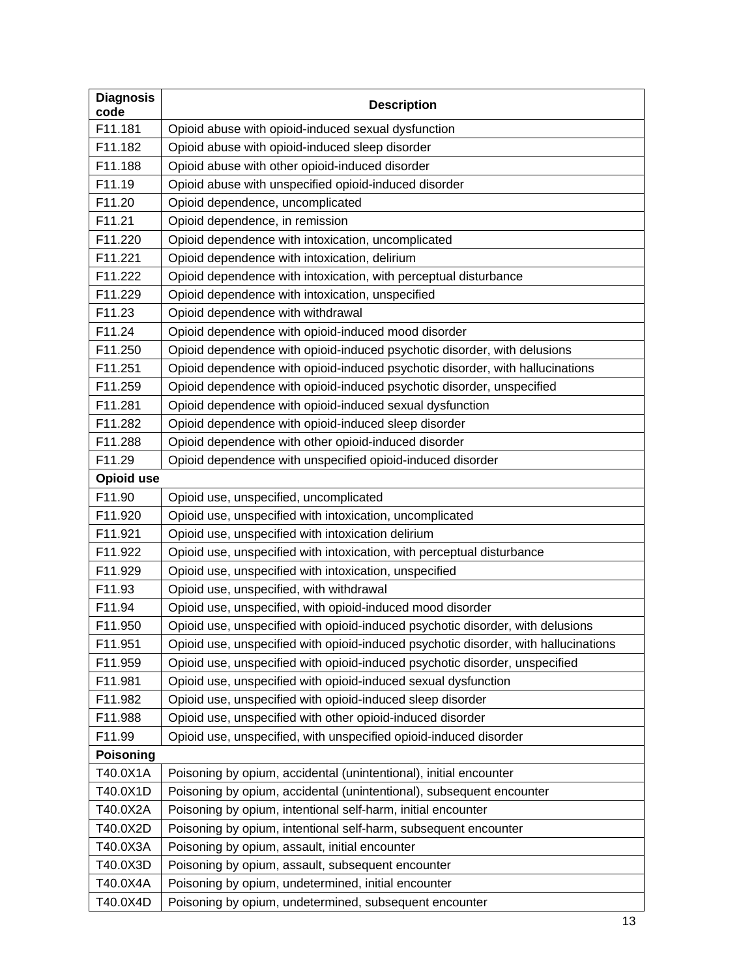| <b>Diagnosis</b><br>code | <b>Description</b>                                                                  |
|--------------------------|-------------------------------------------------------------------------------------|
| F11.181                  | Opioid abuse with opioid-induced sexual dysfunction                                 |
| F11.182                  | Opioid abuse with opioid-induced sleep disorder                                     |
| F11.188                  | Opioid abuse with other opioid-induced disorder                                     |
| F11.19                   | Opioid abuse with unspecified opioid-induced disorder                               |
| F11.20                   | Opioid dependence, uncomplicated                                                    |
| F11.21                   | Opioid dependence, in remission                                                     |
| F11.220                  | Opioid dependence with intoxication, uncomplicated                                  |
| F11.221                  | Opioid dependence with intoxication, delirium                                       |
| F11.222                  | Opioid dependence with intoxication, with perceptual disturbance                    |
| F11.229                  | Opioid dependence with intoxication, unspecified                                    |
| F11.23                   | Opioid dependence with withdrawal                                                   |
| F11.24                   | Opioid dependence with opioid-induced mood disorder                                 |
| F11.250                  | Opioid dependence with opioid-induced psychotic disorder, with delusions            |
| F11.251                  | Opioid dependence with opioid-induced psychotic disorder, with hallucinations       |
| F11.259                  | Opioid dependence with opioid-induced psychotic disorder, unspecified               |
| F11.281                  | Opioid dependence with opioid-induced sexual dysfunction                            |
| F11.282                  | Opioid dependence with opioid-induced sleep disorder                                |
| F11.288                  | Opioid dependence with other opioid-induced disorder                                |
| F11.29                   | Opioid dependence with unspecified opioid-induced disorder                          |
| Opioid use               |                                                                                     |
| F11.90                   | Opioid use, unspecified, uncomplicated                                              |
| F11.920                  | Opioid use, unspecified with intoxication, uncomplicated                            |
| F11.921                  | Opioid use, unspecified with intoxication delirium                                  |
| F11.922                  | Opioid use, unspecified with intoxication, with perceptual disturbance              |
| F11.929                  | Opioid use, unspecified with intoxication, unspecified                              |
| F11.93                   | Opioid use, unspecified, with withdrawal                                            |
| F11.94                   | Opioid use, unspecified, with opioid-induced mood disorder                          |
| F11.950                  | Opioid use, unspecified with opioid-induced psychotic disorder, with delusions      |
| F11.951                  | Opioid use, unspecified with opioid-induced psychotic disorder, with hallucinations |
| F11.959                  | Opioid use, unspecified with opioid-induced psychotic disorder, unspecified         |
| F11.981                  | Opioid use, unspecified with opioid-induced sexual dysfunction                      |
| F11.982                  | Opioid use, unspecified with opioid-induced sleep disorder                          |
| F11.988                  | Opioid use, unspecified with other opioid-induced disorder                          |
| F11.99                   | Opioid use, unspecified, with unspecified opioid-induced disorder                   |
| <b>Poisoning</b>         |                                                                                     |
| T40.0X1A                 | Poisoning by opium, accidental (unintentional), initial encounter                   |
| T40.0X1D                 | Poisoning by opium, accidental (unintentional), subsequent encounter                |
| T40.0X2A                 | Poisoning by opium, intentional self-harm, initial encounter                        |
| T40.0X2D                 | Poisoning by opium, intentional self-harm, subsequent encounter                     |
| T40.0X3A                 | Poisoning by opium, assault, initial encounter                                      |
| T40.0X3D                 | Poisoning by opium, assault, subsequent encounter                                   |
| T40.0X4A                 | Poisoning by opium, undetermined, initial encounter                                 |
| T40.0X4D                 | Poisoning by opium, undetermined, subsequent encounter                              |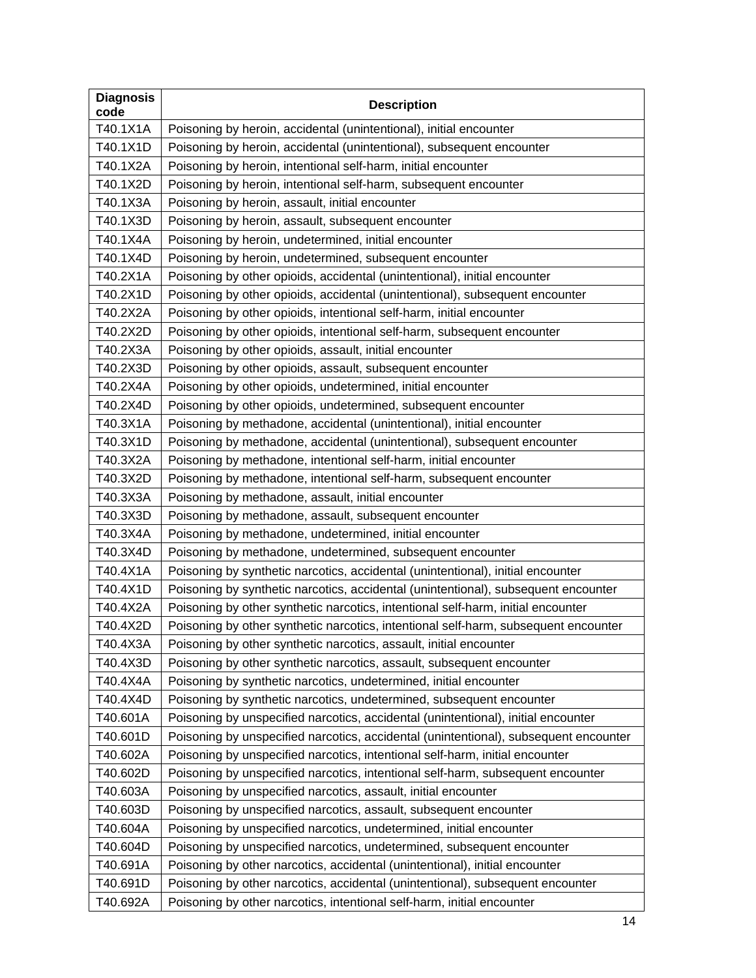| <b>Diagnosis</b><br>code | <b>Description</b>                                                                   |
|--------------------------|--------------------------------------------------------------------------------------|
| T40.1X1A                 | Poisoning by heroin, accidental (unintentional), initial encounter                   |
| T40.1X1D                 | Poisoning by heroin, accidental (unintentional), subsequent encounter                |
| T40.1X2A                 | Poisoning by heroin, intentional self-harm, initial encounter                        |
| T40.1X2D                 | Poisoning by heroin, intentional self-harm, subsequent encounter                     |
| T40.1X3A                 | Poisoning by heroin, assault, initial encounter                                      |
| T40.1X3D                 | Poisoning by heroin, assault, subsequent encounter                                   |
| T40.1X4A                 | Poisoning by heroin, undetermined, initial encounter                                 |
| T40.1X4D                 | Poisoning by heroin, undetermined, subsequent encounter                              |
| T40.2X1A                 | Poisoning by other opioids, accidental (unintentional), initial encounter            |
| T40.2X1D                 | Poisoning by other opioids, accidental (unintentional), subsequent encounter         |
| T40.2X2A                 | Poisoning by other opioids, intentional self-harm, initial encounter                 |
| T40.2X2D                 | Poisoning by other opioids, intentional self-harm, subsequent encounter              |
| T40.2X3A                 | Poisoning by other opioids, assault, initial encounter                               |
| T40.2X3D                 | Poisoning by other opioids, assault, subsequent encounter                            |
| T40.2X4A                 | Poisoning by other opioids, undetermined, initial encounter                          |
| T40.2X4D                 | Poisoning by other opioids, undetermined, subsequent encounter                       |
| T40.3X1A                 | Poisoning by methadone, accidental (unintentional), initial encounter                |
| T40.3X1D                 | Poisoning by methadone, accidental (unintentional), subsequent encounter             |
| T40.3X2A                 | Poisoning by methadone, intentional self-harm, initial encounter                     |
| T40.3X2D                 | Poisoning by methadone, intentional self-harm, subsequent encounter                  |
| T40.3X3A                 | Poisoning by methadone, assault, initial encounter                                   |
| T40.3X3D                 | Poisoning by methadone, assault, subsequent encounter                                |
| T40.3X4A                 | Poisoning by methadone, undetermined, initial encounter                              |
| T40.3X4D                 | Poisoning by methadone, undetermined, subsequent encounter                           |
| T40.4X1A                 | Poisoning by synthetic narcotics, accidental (unintentional), initial encounter      |
| T40.4X1D                 | Poisoning by synthetic narcotics, accidental (unintentional), subsequent encounter   |
| T40.4X2A                 | Poisoning by other synthetic narcotics, intentional self-harm, initial encounter     |
| T40.4X2D                 | Poisoning by other synthetic narcotics, intentional self-harm, subsequent encounter  |
| T40.4X3A                 | Poisoning by other synthetic narcotics, assault, initial encounter                   |
| T40.4X3D                 | Poisoning by other synthetic narcotics, assault, subsequent encounter                |
| T40.4X4A                 | Poisoning by synthetic narcotics, undetermined, initial encounter                    |
| T40.4X4D                 | Poisoning by synthetic narcotics, undetermined, subsequent encounter                 |
| T40.601A                 | Poisoning by unspecified narcotics, accidental (unintentional), initial encounter    |
| T40.601D                 | Poisoning by unspecified narcotics, accidental (unintentional), subsequent encounter |
| T40.602A                 | Poisoning by unspecified narcotics, intentional self-harm, initial encounter         |
| T40.602D                 | Poisoning by unspecified narcotics, intentional self-harm, subsequent encounter      |
| T40.603A                 | Poisoning by unspecified narcotics, assault, initial encounter                       |
| T40.603D                 | Poisoning by unspecified narcotics, assault, subsequent encounter                    |
| T40.604A                 | Poisoning by unspecified narcotics, undetermined, initial encounter                  |
| T40.604D                 | Poisoning by unspecified narcotics, undetermined, subsequent encounter               |
| T40.691A                 | Poisoning by other narcotics, accidental (unintentional), initial encounter          |
| T40.691D                 | Poisoning by other narcotics, accidental (unintentional), subsequent encounter       |
| T40.692A                 | Poisoning by other narcotics, intentional self-harm, initial encounter               |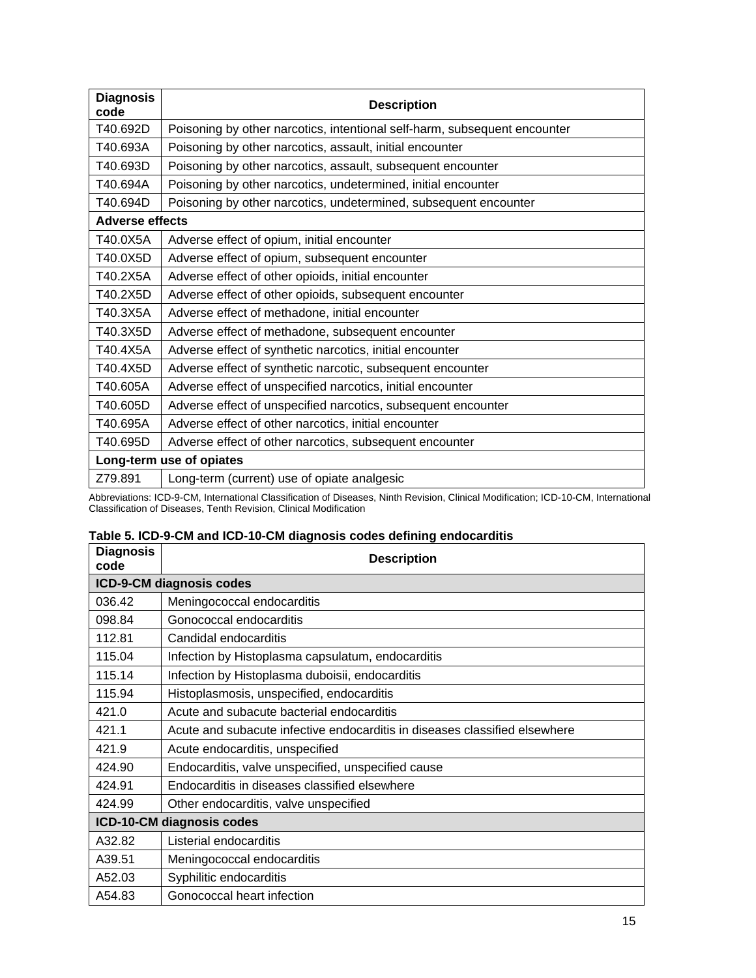| <b>Diagnosis</b><br>code | <b>Description</b>                                                        |
|--------------------------|---------------------------------------------------------------------------|
| T40.692D                 | Poisoning by other narcotics, intentional self-harm, subsequent encounter |
| T40.693A                 | Poisoning by other narcotics, assault, initial encounter                  |
| T40.693D                 | Poisoning by other narcotics, assault, subsequent encounter               |
| T40.694A                 | Poisoning by other narcotics, undetermined, initial encounter             |
| T40.694D                 | Poisoning by other narcotics, undetermined, subsequent encounter          |
| <b>Adverse effects</b>   |                                                                           |
| T40.0X5A                 | Adverse effect of opium, initial encounter                                |
| T40.0X5D                 | Adverse effect of opium, subsequent encounter                             |
| T40.2X5A                 | Adverse effect of other opioids, initial encounter                        |
| T40.2X5D                 | Adverse effect of other opioids, subsequent encounter                     |
| T40.3X5A                 | Adverse effect of methadone, initial encounter                            |
| T40.3X5D                 | Adverse effect of methadone, subsequent encounter                         |
| T40.4X5A                 | Adverse effect of synthetic narcotics, initial encounter                  |
| T40.4X5D                 | Adverse effect of synthetic narcotic, subsequent encounter                |
| T40.605A                 | Adverse effect of unspecified narcotics, initial encounter                |
| T40.605D                 | Adverse effect of unspecified narcotics, subsequent encounter             |
| T40.695A                 | Adverse effect of other narcotics, initial encounter                      |
| T40.695D                 | Adverse effect of other narcotics, subsequent encounter                   |
|                          | Long-term use of opiates                                                  |
| Z79.891                  | Long-term (current) use of opiate analgesic                               |

Abbreviations: ICD-9-CM, International Classification of Diseases, Ninth Revision, Clinical Modification; ICD-10-CM, International Classification of Diseases, Tenth Revision, Clinical Modification

# **Table 5. ICD-9-CM and ICD-10-CM diagnosis codes defining endocarditis**

| <b>Diagnosis</b><br>code | <b>Description</b>                                                         |  |  |
|--------------------------|----------------------------------------------------------------------------|--|--|
|                          | ICD-9-CM diagnosis codes                                                   |  |  |
| 036.42                   | Meningococcal endocarditis                                                 |  |  |
| 098.84                   | Gonococcal endocarditis                                                    |  |  |
| 112.81                   | Candidal endocarditis                                                      |  |  |
| 115.04                   | Infection by Histoplasma capsulatum, endocarditis                          |  |  |
| 115.14                   | Infection by Histoplasma duboisii, endocarditis                            |  |  |
| 115.94                   | Histoplasmosis, unspecified, endocarditis                                  |  |  |
| 421.0                    | Acute and subacute bacterial endocarditis                                  |  |  |
| 421.1                    | Acute and subacute infective endocarditis in diseases classified elsewhere |  |  |
| 421.9                    | Acute endocarditis, unspecified                                            |  |  |
| 424.90                   | Endocarditis, valve unspecified, unspecified cause                         |  |  |
| 424.91                   | Endocarditis in diseases classified elsewhere                              |  |  |
| 424.99                   | Other endocarditis, valve unspecified                                      |  |  |
|                          | ICD-10-CM diagnosis codes                                                  |  |  |
| A32.82                   | Listerial endocarditis                                                     |  |  |
| A39.51                   | Meningococcal endocarditis                                                 |  |  |
| A52.03                   | Syphilitic endocarditis                                                    |  |  |
| A54.83                   | Gonococcal heart infection                                                 |  |  |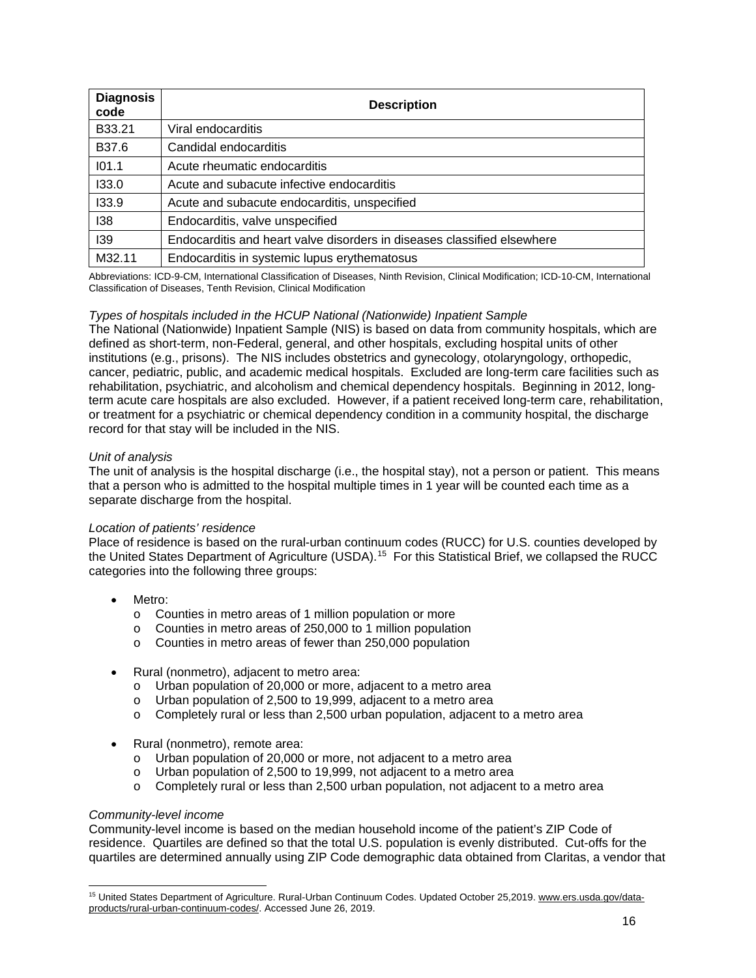| <b>Diagnosis</b><br>code | <b>Description</b>                                                      |
|--------------------------|-------------------------------------------------------------------------|
| B33.21                   | Viral endocarditis                                                      |
| B37.6                    | Candidal endocarditis                                                   |
| 101.1                    | Acute rheumatic endocarditis                                            |
| 133.0                    | Acute and subacute infective endocarditis                               |
| 133.9                    | Acute and subacute endocarditis, unspecified                            |
| 138                      | Endocarditis, valve unspecified                                         |
| 139                      | Endocarditis and heart valve disorders in diseases classified elsewhere |
| M32.11                   | Endocarditis in systemic lupus erythematosus                            |

Abbreviations: ICD-9-CM, International Classification of Diseases, Ninth Revision, Clinical Modification; ICD-10-CM, International Classification of Diseases, Tenth Revision, Clinical Modification

#### *Types of hospitals included in the HCUP National (Nationwide) Inpatient Sample*

The National (Nationwide) Inpatient Sample (NIS) is based on data from community hospitals, which are defined as short-term, non-Federal, general, and other hospitals, excluding hospital units of other institutions (e.g., prisons). The NIS includes obstetrics and gynecology, otolaryngology, orthopedic, cancer, pediatric, public, and academic medical hospitals. Excluded are long-term care facilities such as rehabilitation, psychiatric, and alcoholism and chemical dependency hospitals. Beginning in 2012, longterm acute care hospitals are also excluded. However, if a patient received long-term care, rehabilitation, or treatment for a psychiatric or chemical dependency condition in a community hospital, the discharge record for that stay will be included in the NIS.

#### *Unit of analysis*

The unit of analysis is the hospital discharge (i.e., the hospital stay), not a person or patient. This means that a person who is admitted to the hospital multiple times in 1 year will be counted each time as a separate discharge from the hospital.

#### *Location of patients' residence*

Place of residence is based on the rural-urban continuum codes (RUCC) for U.S. counties developed by the United States Department of Agriculture (USDA). [15](#page-15-0) For this Statistical Brief, we collapsed the RUCC categories into the following three groups:

- Metro:
	- o Counties in metro areas of 1 million population or more
	- o Counties in metro areas of 250,000 to 1 million population
	- o Counties in metro areas of fewer than 250,000 population
- Rural (nonmetro), adjacent to metro area:
	- o Urban population of 20,000 or more, adjacent to a metro area
	- o Urban population of 2,500 to 19,999, adjacent to a metro area
	- $\circ$  Completely rural or less than 2,500 urban population, adjacent to a metro area
- Rural (nonmetro), remote area:
	- o Urban population of 20,000 or more, not adjacent to a metro area
	- o Urban population of 2,500 to 19,999, not adjacent to a metro area
	- $\circ$  Completely rural or less than 2,500 urban population, not adjacent to a metro area

#### *Community-level income*

Community-level income is based on the median household income of the patient's ZIP Code of residence. Quartiles are defined so that the total U.S. population is evenly distributed. Cut-offs for the quartiles are determined annually using ZIP Code demographic data obtained from Claritas, a vendor that

<span id="page-15-0"></span><sup>&</sup>lt;sup>15</sup> United States Department of Agriculture. Rural-Urban Continuum Codes. Updated October 25,2019. [www.ers.usda.gov/data](http://www.ers.usda.gov/data-products/rural-urban-continuum-codes/)[products/rural-urban-continuum-codes/.](http://www.ers.usda.gov/data-products/rural-urban-continuum-codes/) Accessed June 26, 2019.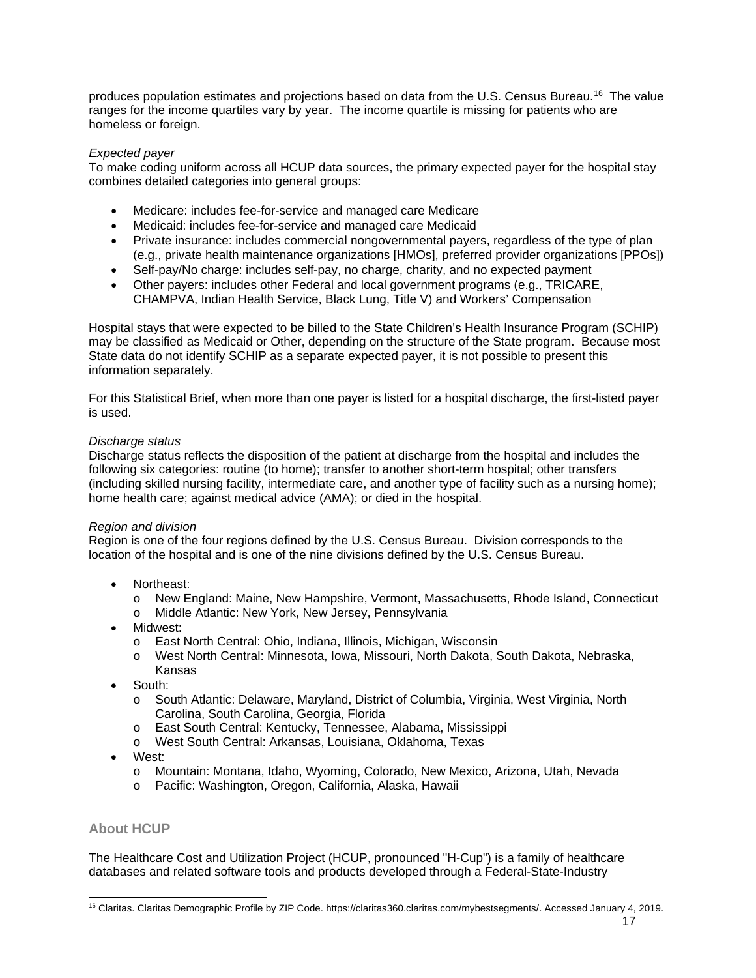produces population estimates and projections based on data from the U.S. Census Bureau.<sup>[16](#page-16-0)</sup> The value ranges for the income quartiles vary by year. The income quartile is missing for patients who are homeless or foreign.

## *Expected payer*

To make coding uniform across all HCUP data sources, the primary expected payer for the hospital stay combines detailed categories into general groups:

- Medicare: includes fee-for-service and managed care Medicare
- Medicaid: includes fee-for-service and managed care Medicaid
- Private insurance: includes commercial nongovernmental payers, regardless of the type of plan (e.g., private health maintenance organizations [HMOs], preferred provider organizations [PPOs])
- Self-pay/No charge: includes self-pay, no charge, charity, and no expected payment
- Other payers: includes other Federal and local government programs (e.g., TRICARE, CHAMPVA, Indian Health Service, Black Lung, Title V) and Workers' Compensation

Hospital stays that were expected to be billed to the State Children's Health Insurance Program (SCHIP) may be classified as Medicaid or Other, depending on the structure of the State program. Because most State data do not identify SCHIP as a separate expected payer, it is not possible to present this information separately.

For this Statistical Brief, when more than one payer is listed for a hospital discharge, the first-listed payer is used.

#### *Discharge status*

Discharge status reflects the disposition of the patient at discharge from the hospital and includes the following six categories: routine (to home); transfer to another short-term hospital; other transfers (including skilled nursing facility, intermediate care, and another type of facility such as a nursing home); home health care; against medical advice (AMA); or died in the hospital.

#### *Region and division*

Region is one of the four regions defined by the U.S. Census Bureau. Division corresponds to the location of the hospital and is one of the nine divisions defined by the U.S. Census Bureau.

- Northeast:
	- o New England: Maine, New Hampshire, Vermont, Massachusetts, Rhode Island, Connecticut <br>o Middle Atlantic: New York, New Jersey, Pennsylvania Middle Atlantic: New York, New Jersey, Pennsylvania
- Midwest:
	- o East North Central: Ohio, Indiana, Illinois, Michigan, Wisconsin
	- o West North Central: Minnesota, Iowa, Missouri, North Dakota, South Dakota, Nebraska, Kansas
- South:
	- o South Atlantic: Delaware, Maryland, District of Columbia, Virginia, West Virginia, North Carolina, South Carolina, Georgia, Florida
	- o East South Central: Kentucky, Tennessee, Alabama, Mississippi
	- o West South Central: Arkansas, Louisiana, Oklahoma, Texas
- West:
	- o Mountain: Montana, Idaho, Wyoming, Colorado, New Mexico, Arizona, Utah, Nevada
	- o Pacific: Washington, Oregon, California, Alaska, Hawaii

#### **About HCUP**

The Healthcare Cost and Utilization Project (HCUP, pronounced "H-Cup") is a family of healthcare databases and related software tools and products developed through a Federal-State-Industry

<span id="page-16-0"></span><sup>16</sup> Claritas. Claritas Demographic Profile by ZIP Code. [https://claritas360.claritas.com/mybestsegments/.](https://urldefense.proofpoint.com/v2/url?u=https-3A__claritas360.claritas.com_mybestsegments_&d=DwMFAg&c=jf_iaSHvJObTbx-siA1ZOg&r=2qQwVBn6hVQgR7RNjEA4Tc2Yt-lUl674IM-sBUsuioI&m=1oiJ3ExnOAcDgPI-UYilibv22PKIWdoJGEckJMX1wBo&s=bItTFDXTd66iEpPXEANbDP7yfCHH-cfeRDFJ2CX5X-4&e=) Accessed January 4, 2019.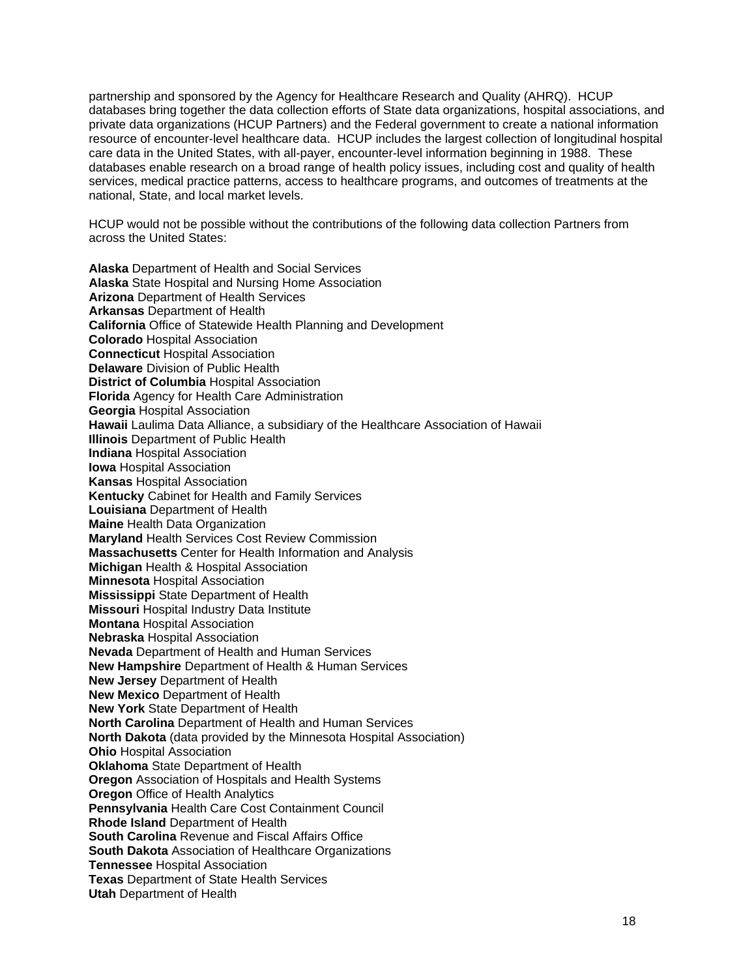partnership and sponsored by the Agency for Healthcare Research and Quality (AHRQ). HCUP databases bring together the data collection efforts of State data organizations, hospital associations, and private data organizations (HCUP Partners) and the Federal government to create a national information resource of encounter-level healthcare data. HCUP includes the largest collection of longitudinal hospital care data in the United States, with all-payer, encounter-level information beginning in 1988. These databases enable research on a broad range of health policy issues, including cost and quality of health services, medical practice patterns, access to healthcare programs, and outcomes of treatments at the national, State, and local market levels.

HCUP would not be possible without the contributions of the following data collection Partners from across the United States:

**Alaska** Department of Health and Social Services **Alaska** State Hospital and Nursing Home Association **Arizona** Department of Health Services **Arkansas** Department of Health **California** Office of Statewide Health Planning and Development **Colorado** Hospital Association **Connecticut** Hospital Association **Delaware** Division of Public Health **District of Columbia** Hospital Association **Florida** Agency for Health Care Administration **Georgia** Hospital Association **Hawaii** Laulima Data Alliance, a subsidiary of the Healthcare Association of Hawaii **Illinois** Department of Public Health **Indiana** Hospital Association **Iowa** Hospital Association **Kansas** Hospital Association **Kentucky** Cabinet for Health and Family Services **Louisiana** Department of Health **Maine** Health Data Organization **Maryland** Health Services Cost Review Commission **Massachusetts** Center for Health Information and Analysis **Michigan** Health & Hospital Association **Minnesota** Hospital Association **Mississippi** State Department of Health **Missouri** Hospital Industry Data Institute **Montana** Hospital Association **Nebraska** Hospital Association **Nevada** Department of Health and Human Services **New Hampshire** Department of Health & Human Services **New Jersey** Department of Health **New Mexico** Department of Health **New York** State Department of Health **North Carolina** Department of Health and Human Services **North Dakota** (data provided by the Minnesota Hospital Association) **Ohio** Hospital Association **Oklahoma** State Department of Health **Oregon** Association of Hospitals and Health Systems **Oregon** Office of Health Analytics **Pennsylvania** Health Care Cost Containment Council **Rhode Island** Department of Health **South Carolina** Revenue and Fiscal Affairs Office **South Dakota** Association of Healthcare Organizations **Tennessee** Hospital Association **Texas** Department of State Health Services **Utah** Department of Health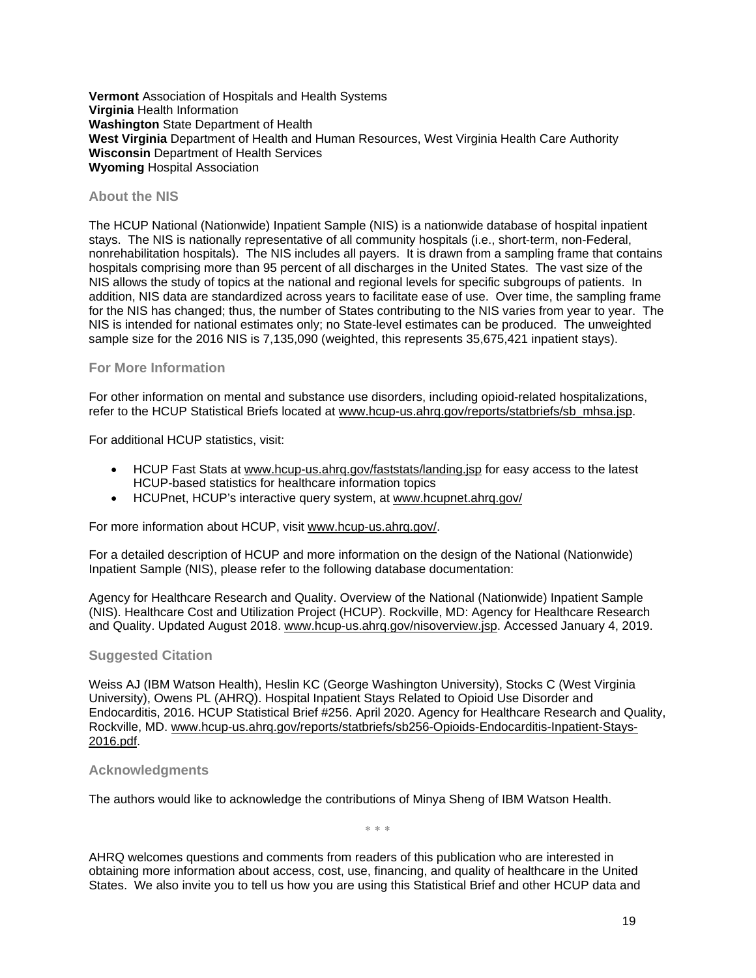**Vermont** Association of Hospitals and Health Systems **Virginia** Health Information **Washington** State Department of Health **West Virginia** Department of Health and Human Resources, West Virginia Health Care Authority **Wisconsin** Department of Health Services **Wyoming** Hospital Association

## **About the NIS**

The HCUP National (Nationwide) Inpatient Sample (NIS) is a nationwide database of hospital inpatient stays. The NIS is nationally representative of all community hospitals (i.e., short-term, non-Federal, nonrehabilitation hospitals). The NIS includes all payers. It is drawn from a sampling frame that contains hospitals comprising more than 95 percent of all discharges in the United States. The vast size of the NIS allows the study of topics at the national and regional levels for specific subgroups of patients. In addition, NIS data are standardized across years to facilitate ease of use. Over time, the sampling frame for the NIS has changed; thus, the number of States contributing to the NIS varies from year to year. The NIS is intended for national estimates only; no State-level estimates can be produced. The unweighted sample size for the 2016 NIS is 7,135,090 (weighted, this represents 35,675,421 inpatient stays).

#### **For More Information**

For other information on mental and substance use disorders, including opioid-related hospitalizations, refer to the HCUP Statistical Briefs located at [www.hcup-us.ahrq.gov/reports/statbriefs/sb\\_mhsa.jsp.](http://www.hcup-us.ahrq.gov/reports/statbriefs/sb_mhsa.jsp)

For additional HCUP statistics, visit:

- HCUP Fast Stats at [www.hcup-us.ahrq.gov/faststats/landing.jsp](http://www.hcup-us.ahrq.gov/faststats/landing.jsp) for easy access to the latest HCUP-based statistics for healthcare information topics
- HCUPnet, HCUP's interactive query system, at [www.hcupnet.ahrq.gov/](http://www.hcupnet.ahrq.gov/)

For more information about HCUP, visit [www.hcup-us.ahrq.gov/.](http://www.hcup-us.ahrq.gov/)

For a detailed description of HCUP and more information on the design of the National (Nationwide) Inpatient Sample (NIS), please refer to the following database documentation:

Agency for Healthcare Research and Quality. Overview of the National (Nationwide) Inpatient Sample (NIS). Healthcare Cost and Utilization Project (HCUP). Rockville, MD: Agency for Healthcare Research and Quality. Updated August 2018. [www.hcup-us.ahrq.gov/nisoverview.jsp.](http://www.hcup-us.ahrq.gov/nisoverview.jsp) Accessed January 4, 2019.

#### **Suggested Citation**

Weiss AJ (IBM Watson Health), Heslin KC (George Washington University), Stocks C (West Virginia University), Owens PL (AHRQ). Hospital Inpatient Stays Related to Opioid Use Disorder and Endocarditis, 2016. HCUP Statistical Brief #256. April 2020. Agency for Healthcare Research and Quality, Rockville, MD. [www.hcup-us.ahrq.gov/reports/statbriefs/sb256-Opioids-Endocarditis-Inpatient-Stays-](http://www.hcup-us.ahrq.gov/reports/statbriefs/sb256-Opioids-Endocarditis-Inpatient-Stays-2016.pdf)[2016.pdf.](http://www.hcup-us.ahrq.gov/reports/statbriefs/sb256-Opioids-Endocarditis-Inpatient-Stays-2016.pdf)

# **Acknowledgments**

The authors would like to acknowledge the contributions of Minya Sheng of IBM Watson Health.

∗ ∗ ∗

AHRQ welcomes questions and comments from readers of this publication who are interested in obtaining more information about access, cost, use, financing, and quality of healthcare in the United States. We also invite you to tell us how you are using this Statistical Brief and other HCUP data and